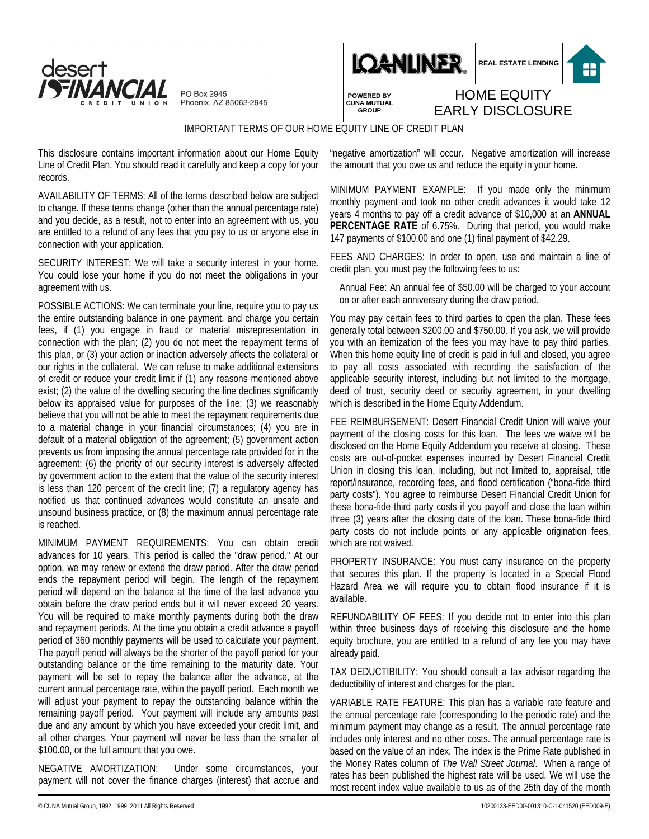

PO Box 2945 Phoenix, AZ 85062-2945



**REAL ESTATE LENDING** 8

**POWERED BY CUNA MUTUAL GROUP**

## HOME EQUITY EARLY DISCLOSURE

IMPORTANT TERMS OF OUR HOME EQUITY LINE OF CREDIT PLAN

This disclosure contains important information about our Home Equity Line of Credit Plan. You should read it carefully and keep a copy for your records.

AVAILABILITY OF TERMS: All of the terms described below are subject to change. If these terms change (other than the annual percentage rate) and you decide, as a result, not to enter into an agreement with us, you are entitled to a refund of any fees that you pay to us or anyone else in connection with your application.

SECURITY INTEREST: We will take a security interest in your home. You could lose your home if you do not meet the obligations in your agreement with us.

POSSIBLE ACTIONS: We can terminate your line, require you to pay us the entire outstanding balance in one payment, and charge you certain fees, if (1) you engage in fraud or material misrepresentation in connection with the plan; (2) you do not meet the repayment terms of this plan, or (3) your action or inaction adversely affects the collateral or our rights in the collateral. We can refuse to make additional extensions of credit or reduce your credit limit if (1) any reasons mentioned above exist; (2) the value of the dwelling securing the line declines significantly below its appraised value for purposes of the line; (3) we reasonably believe that you will not be able to meet the repayment requirements due to a material change in your financial circumstances; (4) you are in default of a material obligation of the agreement; (5) government action prevents us from imposing the annual percentage rate provided for in the agreement; (6) the priority of our security interest is adversely affected by government action to the extent that the value of the security interest is less than 120 percent of the credit line; (7) a regulatory agency has notified us that continued advances would constitute an unsafe and unsound business practice, or (8) the maximum annual percentage rate is reached.

MINIMUM PAYMENT REQUIREMENTS: You can obtain credit advances for 10 years. This period is called the "draw period." At our option, we may renew or extend the draw period. After the draw period ends the repayment period will begin. The length of the repayment period will depend on the balance at the time of the last advance you obtain before the draw period ends but it will never exceed 20 years. You will be required to make monthly payments during both the draw and repayment periods. At the time you obtain a credit advance a payoff period of 360 monthly payments will be used to calculate your payment. The payoff period will always be the shorter of the payoff period for your outstanding balance or the time remaining to the maturity date. Your payment will be set to repay the balance after the advance, at the current annual percentage rate, within the payoff period. Each month we will adjust your payment to repay the outstanding balance within the remaining payoff period. Your payment will include any amounts past due and any amount by which you have exceeded your credit limit, and all other charges. Your payment will never be less than the smaller of \$100.00, or the full amount that you owe.

NEGATIVE AMORTIZATION: Under some circumstances, your payment will not cover the finance charges (interest) that accrue and

"negative amortization" will occur. Negative amortization will increase the amount that you owe us and reduce the equity in your home.

MINIMUM PAYMENT EXAMPLE: If you made only the minimum monthly payment and took no other credit advances it would take 12 years 4 months to pay off a credit advance of \$10,000 at an **ANNUAL PERCENTAGE RATE** of 6.75%. During that period, you would make 147 payments of \$100.00 and one (1) final payment of \$42.29.

FEES AND CHARGES: In order to open, use and maintain a line of credit plan, you must pay the following fees to us:

Annual Fee: An annual fee of \$50.00 will be charged to your account on or after each anniversary during the draw period.

You may pay certain fees to third parties to open the plan. These fees generally total between \$200.00 and \$750.00. If you ask, we will provide you with an itemization of the fees you may have to pay third parties. When this home equity line of credit is paid in full and closed, you agree to pay all costs associated with recording the satisfaction of the applicable security interest, including but not limited to the mortgage, deed of trust, security deed or security agreement, in your dwelling which is described in the Home Equity Addendum.

FEE REIMBURSEMENT: Desert Financial Credit Union will waive your payment of the closing costs for this loan. The fees we waive will be disclosed on the Home Equity Addendum you receive at closing. These costs are out-of-pocket expenses incurred by Desert Financial Credit Union in closing this loan, including, but not limited to, appraisal, title report/insurance, recording fees, and flood certification ("bona-fide third party costs"). You agree to reimburse Desert Financial Credit Union for these bona-fide third party costs if you payoff and close the loan within three (3) years after the closing date of the loan. These bona-fide third party costs do not include points or any applicable origination fees, which are not waived.

PROPERTY INSURANCE: You must carry insurance on the property that secures this plan. If the property is located in a Special Flood Hazard Area we will require you to obtain flood insurance if it is available.

REFUNDABILITY OF FEES: If you decide not to enter into this plan within three business days of receiving this disclosure and the home equity brochure, you are entitled to a refund of any fee you may have already paid.

TAX DEDUCTIBILITY: You should consult a tax advisor regarding the deductibility of interest and charges for the plan.

VARIABLE RATE FEATURE: This plan has a variable rate feature and the annual percentage rate (corresponding to the periodic rate) and the minimum payment may change as a result. The annual percentage rate includes only interest and no other costs. The annual percentage rate is based on the value of an index. The index is the Prime Rate published in the Money Rates column of *The Wall Street Journal*. When a range of rates has been published the highest rate will be used. We will use the most recent index value available to us as of the 25th day of the month